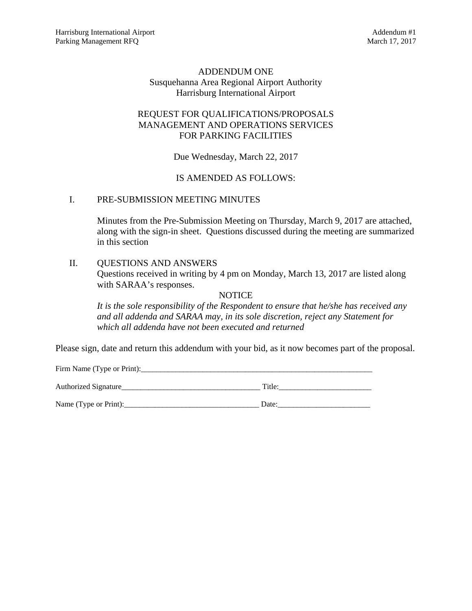# ADDENDUM ONE Susquehanna Area Regional Airport Authority Harrisburg International Airport

# REQUEST FOR QUALIFICATIONS/PROPOSALS MANAGEMENT AND OPERATIONS SERVICES FOR PARKING FACILITIES

Due Wednesday, March 22, 2017

# IS AMENDED AS FOLLOWS:

# I. PRE-SUBMISSION MEETING MINUTES

Minutes from the Pre-Submission Meeting on Thursday, March 9, 2017 are attached, along with the sign-in sheet. Questions discussed during the meeting are summarized in this section

# II. QUESTIONS AND ANSWERS

Questions received in writing by 4 pm on Monday, March 13, 2017 are listed along with SARAA's responses.

#### **NOTICE**

*It is the sole responsibility of the Respondent to ensure that he/she has received any and all addenda and SARAA may, in its sole discretion, reject any Statement for which all addenda have not been executed and returned* 

Please sign, date and return this addendum with your bid, as it now becomes part of the proposal.

Firm Name (Type or Print):\_\_\_\_\_\_\_\_\_\_\_\_\_\_\_\_\_\_\_\_\_\_\_\_\_\_\_\_\_\_\_\_\_\_\_\_\_\_\_\_\_\_\_\_\_\_\_\_\_\_\_\_\_\_\_\_\_\_\_\_ Authorized Signature\_\_\_\_\_\_\_\_\_\_\_\_\_\_\_\_\_\_\_\_\_\_\_\_\_\_\_\_\_\_\_\_\_\_\_\_ Title:\_\_\_\_\_\_\_\_\_\_\_\_\_\_\_\_\_\_\_\_\_\_\_\_

Name (Type or Print):  $\Box$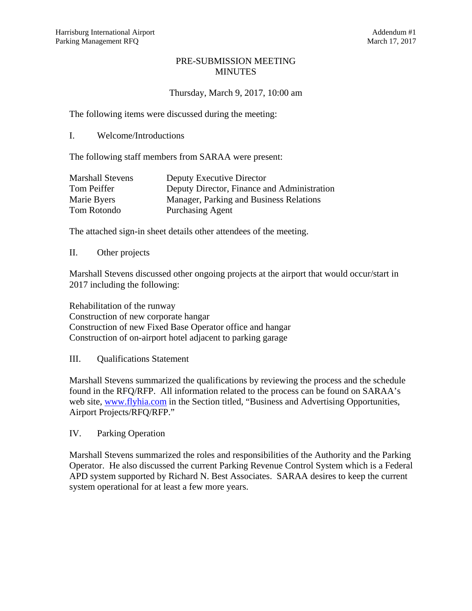#### PRE-SUBMISSION MEETING MINUTES

# Thursday, March 9, 2017, 10:00 am

The following items were discussed during the meeting:

I. Welcome/Introductions

The following staff members from SARAA were present:

| <b>Marshall Stevens</b> | Deputy Executive Director                   |
|-------------------------|---------------------------------------------|
| Tom Peiffer             | Deputy Director, Finance and Administration |
| Marie Byers             | Manager, Parking and Business Relations     |
| Tom Rotondo             | <b>Purchasing Agent</b>                     |

The attached sign-in sheet details other attendees of the meeting.

#### II. Other projects

Marshall Stevens discussed other ongoing projects at the airport that would occur/start in 2017 including the following:

Rehabilitation of the runway Construction of new corporate hangar Construction of new Fixed Base Operator office and hangar Construction of on-airport hotel adjacent to parking garage

III. Qualifications Statement

Marshall Stevens summarized the qualifications by reviewing the process and the schedule found in the RFQ/RFP. All information related to the process can be found on SARAA's web site, www.flyhia.com in the Section titled, "Business and Advertising Opportunities, Airport Projects/RFQ/RFP."

IV. Parking Operation

Marshall Stevens summarized the roles and responsibilities of the Authority and the Parking Operator. He also discussed the current Parking Revenue Control System which is a Federal APD system supported by Richard N. Best Associates. SARAA desires to keep the current system operational for at least a few more years.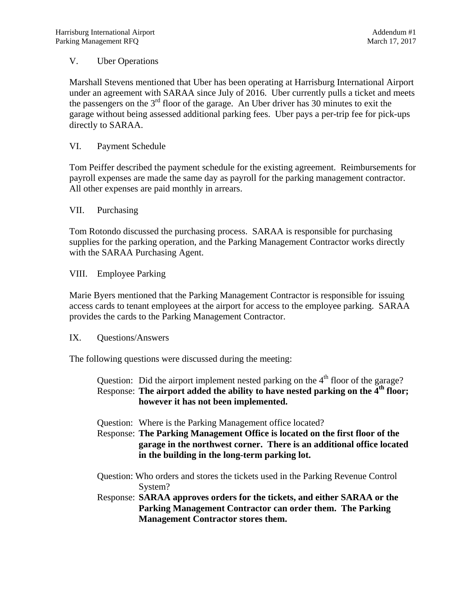# V. Uber Operations

Marshall Stevens mentioned that Uber has been operating at Harrisburg International Airport under an agreement with SARAA since July of 2016. Uber currently pulls a ticket and meets the passengers on the  $3<sup>rd</sup>$  floor of the garage. An Uber driver has 30 minutes to exit the garage without being assessed additional parking fees. Uber pays a per-trip fee for pick-ups directly to SARAA.

# VI. Payment Schedule

Tom Peiffer described the payment schedule for the existing agreement. Reimbursements for payroll expenses are made the same day as payroll for the parking management contractor. All other expenses are paid monthly in arrears.

#### VII. Purchasing

Tom Rotondo discussed the purchasing process. SARAA is responsible for purchasing supplies for the parking operation, and the Parking Management Contractor works directly with the SARAA Purchasing Agent.

VIII. Employee Parking

Marie Byers mentioned that the Parking Management Contractor is responsible for issuing access cards to tenant employees at the airport for access to the employee parking. SARAA provides the cards to the Parking Management Contractor.

#### IX. Questions/Answers

The following questions were discussed during the meeting:

| Question: Did the airport implement nested parking on the $4th$ floor of the garage?<br>Response: The airport added the ability to have nested parking on the 4 <sup>th</sup> floor;<br>however it has not been implemented. |
|------------------------------------------------------------------------------------------------------------------------------------------------------------------------------------------------------------------------------|
| Question: Where is the Parking Management office located?                                                                                                                                                                    |
| Response: The Parking Management Office is located on the first floor of the<br>garage in the northwest corner. There is an additional office located<br>in the building in the long-term parking lot.                       |
| Question: Who orders and stores the tickets used in the Parking Revenue Control<br>System?                                                                                                                                   |
| Response: SARAA approves orders for the tickets, and either SARAA or the                                                                                                                                                     |
| Parking Management Contractor can order them. The Parking                                                                                                                                                                    |
| <b>Management Contractor stores them.</b>                                                                                                                                                                                    |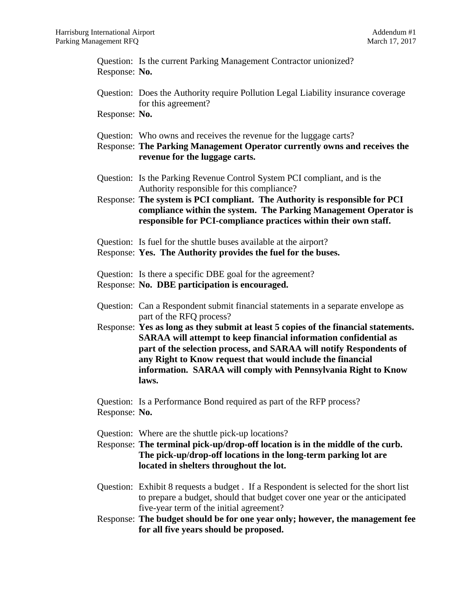Question: Is the current Parking Management Contractor unionized? Response: **No.**

Question: Does the Authority require Pollution Legal Liability insurance coverage for this agreement?

Response: **No.**

- Question: Who owns and receives the revenue for the luggage carts?
- Response: **The Parking Management Operator currently owns and receives the revenue for the luggage carts.**
- Question: Is the Parking Revenue Control System PCI compliant, and is the Authority responsible for this compliance?
- Response: **The system is PCI compliant. The Authority is responsible for PCI compliance within the system. The Parking Management Operator is responsible for PCI-compliance practices within their own staff.**
- Question: Is fuel for the shuttle buses available at the airport?
- Response: **Yes. The Authority provides the fuel for the buses.**
- Question: Is there a specific DBE goal for the agreement?
- Response: **No. DBE participation is encouraged.**
- Question: Can a Respondent submit financial statements in a separate envelope as part of the RFQ process?
- Response: **Yes as long as they submit at least 5 copies of the financial statements. SARAA will attempt to keep financial information confidential as part of the selection process, and SARAA will notify Respondents of any Right to Know request that would include the financial information. SARAA will comply with Pennsylvania Right to Know laws.**
- Question: Is a Performance Bond required as part of the RFP process? Response: **No.**
- Question: Where are the shuttle pick-up locations?
- Response: **The terminal pick-up/drop-off location is in the middle of the curb. The pick-up/drop-off locations in the long-term parking lot are located in shelters throughout the lot.**
- Question: Exhibit 8 requests a budget . If a Respondent is selected for the short list to prepare a budget, should that budget cover one year or the anticipated five-year term of the initial agreement?
- Response: **The budget should be for one year only; however, the management fee for all five years should be proposed.**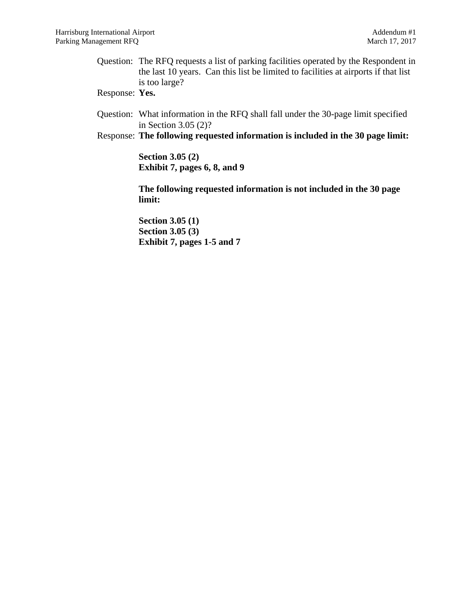Question: The RFQ requests a list of parking facilities operated by the Respondent in the last 10 years. Can this list be limited to facilities at airports if that list is too large?

Response: **Yes.**

Question: What information in the RFQ shall fall under the 30-page limit specified in Section 3.05 (2)?

Response: **The following requested information is included in the 30 page limit:** 

**Section 3.05 (2) Exhibit 7, pages 6, 8, and 9** 

**The following requested information is not included in the 30 page limit:** 

**Section 3.05 (1) Section 3.05 (3) Exhibit 7, pages 1-5 and 7**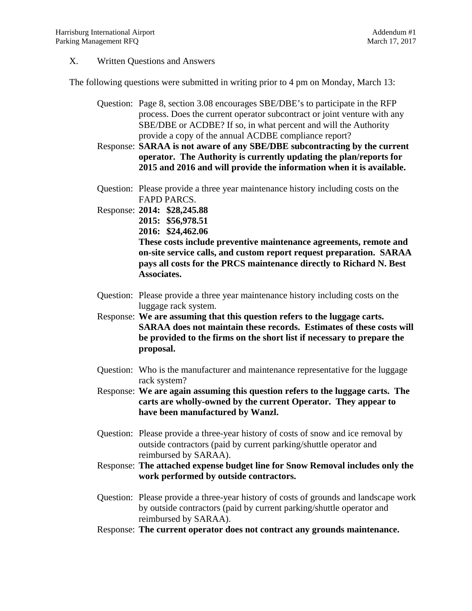#### X. Written Questions and Answers

The following questions were submitted in writing prior to 4 pm on Monday, March 13:

- Question: Page 8, section 3.08 encourages SBE/DBE's to participate in the RFP process. Does the current operator subcontract or joint venture with any SBE/DBE or ACDBE? If so, in what percent and will the Authority provide a copy of the annual ACDBE compliance report?
- Response: **SARAA is not aware of any SBE/DBE subcontracting by the current operator. The Authority is currently updating the plan/reports for 2015 and 2016 and will provide the information when it is available.**
- Question: Please provide a three year maintenance history including costs on the FAPD PARCS.
- Response: **2014: \$28,245.88 2015: \$56,978.51 2016: \$24,462.06 These costs include preventive maintenance agreements, remote and on-site service calls, and custom report request preparation. SARAA pays all costs for the PRCS maintenance directly to Richard N. Best Associates.** 
	- Question: Please provide a three year maintenance history including costs on the luggage rack system.
	- Response: **We are assuming that this question refers to the luggage carts. SARAA does not maintain these records. Estimates of these costs will be provided to the firms on the short list if necessary to prepare the proposal.**
	- Question: Who is the manufacturer and maintenance representative for the luggage rack system?
	- Response: **We are again assuming this question refers to the luggage carts. The carts are wholly-owned by the current Operator. They appear to have been manufactured by Wanzl.**
	- Question: Please provide a three-year history of costs of snow and ice removal by outside contractors (paid by current parking/shuttle operator and reimbursed by SARAA).
	- Response: **The attached expense budget line for Snow Removal includes only the work performed by outside contractors.**
	- Question: Please provide a three-year history of costs of grounds and landscape work by outside contractors (paid by current parking/shuttle operator and reimbursed by SARAA).
	- Response: **The current operator does not contract any grounds maintenance.**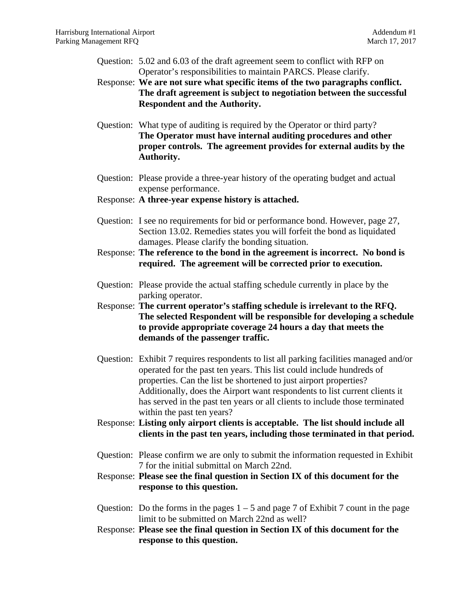- Question: 5.02 and 6.03 of the draft agreement seem to conflict with RFP on Operator's responsibilities to maintain PARCS. Please clarify. Response: **We are not sure what specific items of the two paragraphs conflict. The draft agreement is subject to negotiation between the successful Respondent and the Authority.** Question: What type of auditing is required by the Operator or third party?
- **The Operator must have internal auditing procedures and other proper controls. The agreement provides for external audits by the Authority.**
- Question: Please provide a three-year history of the operating budget and actual expense performance.
- Response: **A three-year expense history is attached.**
- Question: I see no requirements for bid or performance bond. However, page 27, Section 13.02. Remedies states you will forfeit the bond as liquidated damages. Please clarify the bonding situation.
- Response: **The reference to the bond in the agreement is incorrect. No bond is required. The agreement will be corrected prior to execution.**
- Question: Please provide the actual staffing schedule currently in place by the parking operator.

Response: **The current operator's staffing schedule is irrelevant to the RFQ. The selected Respondent will be responsible for developing a schedule to provide appropriate coverage 24 hours a day that meets the demands of the passenger traffic.**

- Question: Exhibit 7 requires respondents to list all parking facilities managed and/or operated for the past ten years. This list could include hundreds of properties. Can the list be shortened to just airport properties? Additionally, does the Airport want respondents to list current clients it has served in the past ten years or all clients to include those terminated within the past ten years?
- Response: **Listing only airport clients is acceptable. The list should include all clients in the past ten years, including those terminated in that period.**
- Question: Please confirm we are only to submit the information requested in Exhibit 7 for the initial submittal on March 22nd.
- Response: **Please see the final question in Section IX of this document for the response to this question.**
- Question: Do the forms in the pages  $1 5$  and page 7 of Exhibit 7 count in the page limit to be submitted on March 22nd as well?
- Response: **Please see the final question in Section IX of this document for the response to this question.**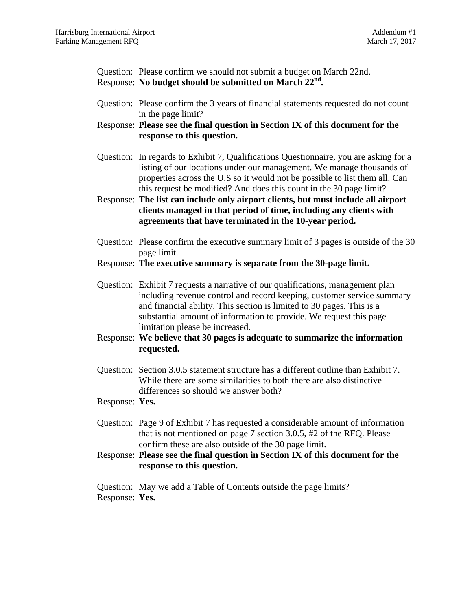Question: Please confirm we should not submit a budget on March 22nd. Response: **No budget should be submitted on March 22nd.**

- Question: Please confirm the 3 years of financial statements requested do not count in the page limit?
- Response: **Please see the final question in Section IX of this document for the response to this question.**
- Question: In regards to Exhibit 7, Qualifications Questionnaire, you are asking for a listing of our locations under our management. We manage thousands of properties across the U.S so it would not be possible to list them all. Can this request be modified? And does this count in the 30 page limit?
- Response: **The list can include only airport clients, but must include all airport clients managed in that period of time, including any clients with agreements that have terminated in the 10-year period.**
- Question: Please confirm the executive summary limit of 3 pages is outside of the 30 page limit.
- Response: **The executive summary is separate from the 30-page limit.**
- Question: Exhibit 7 requests a narrative of our qualifications, management plan including revenue control and record keeping, customer service summary and financial ability. This section is limited to 30 pages. This is a substantial amount of information to provide. We request this page limitation please be increased.
- Response: **We believe that 30 pages is adequate to summarize the information requested.**
- Question: Section 3.0.5 statement structure has a different outline than Exhibit 7. While there are some similarities to both there are also distinctive differences so should we answer both?
- Response: **Yes.**
- Question: Page 9 of Exhibit 7 has requested a considerable amount of information that is not mentioned on page 7 section 3.0.5, #2 of the RFQ. Please confirm these are also outside of the 30 page limit.
- Response: **Please see the final question in Section IX of this document for the response to this question.**

Question: May we add a Table of Contents outside the page limits? Response: **Yes.**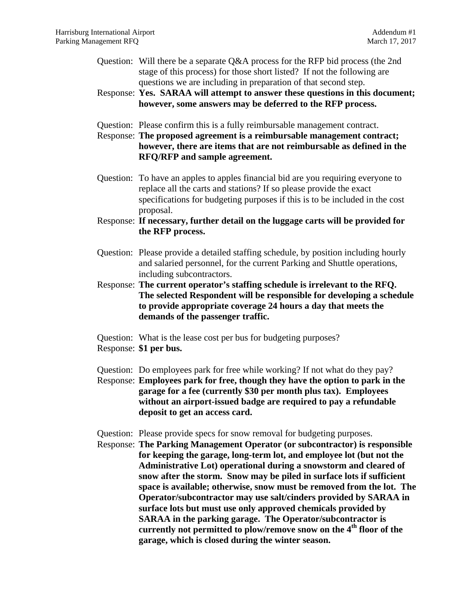- Question: Will there be a separate Q&A process for the RFP bid process (the 2nd stage of this process) for those short listed? If not the following are questions we are including in preparation of that second step.
- Response: **Yes. SARAA will attempt to answer these questions in this document; however, some answers may be deferred to the RFP process.**
- Question: Please confirm this is a fully reimbursable management contract.

Response: **The proposed agreement is a reimbursable management contract; however, there are items that are not reimbursable as defined in the RFQ/RFP and sample agreement.**

- Question: To have an apples to apples financial bid are you requiring everyone to replace all the carts and stations? If so please provide the exact specifications for budgeting purposes if this is to be included in the cost proposal.
- Response: **If necessary, further detail on the luggage carts will be provided for the RFP process.**
- Question: Please provide a detailed staffing schedule, by position including hourly and salaried personnel, for the current Parking and Shuttle operations, including subcontractors.
- Response: **The current operator's staffing schedule is irrelevant to the RFQ. The selected Respondent will be responsible for developing a schedule to provide appropriate coverage 24 hours a day that meets the demands of the passenger traffic.**
- Question: What is the lease cost per bus for budgeting purposes?
- Response: **\$1 per bus.**
- Question: Do employees park for free while working? If not what do they pay?
- Response: **Employees park for free, though they have the option to park in the garage for a fee (currently \$30 per month plus tax). Employees without an airport-issued badge are required to pay a refundable deposit to get an access card.**
- Question: Please provide specs for snow removal for budgeting purposes.
- Response: **The Parking Management Operator (or subcontractor) is responsible for keeping the garage, long-term lot, and employee lot (but not the Administrative Lot) operational during a snowstorm and cleared of snow after the storm. Snow may be piled in surface lots if sufficient space is available; otherwise, snow must be removed from the lot. The Operator/subcontractor may use salt/cinders provided by SARAA in surface lots but must use only approved chemicals provided by SARAA in the parking garage. The Operator/subcontractor is currently not permitted to plow/remove snow on the 4th floor of the garage, which is closed during the winter season.**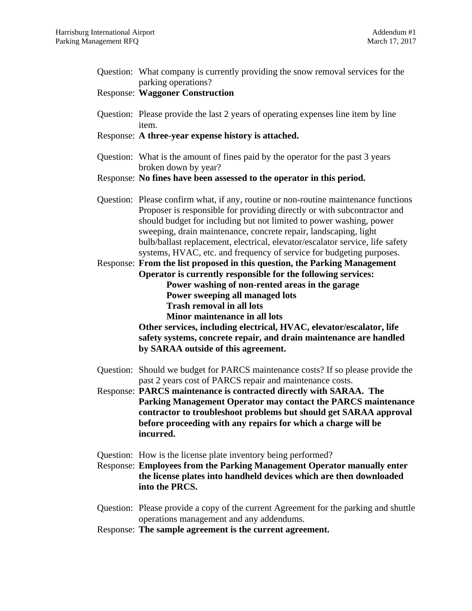| Question: What company is currently providing the snow removal services for the<br>parking operations?                                                                                                                                                                                                                                                                                                                                                              |
|---------------------------------------------------------------------------------------------------------------------------------------------------------------------------------------------------------------------------------------------------------------------------------------------------------------------------------------------------------------------------------------------------------------------------------------------------------------------|
| <b>Response: Waggoner Construction</b>                                                                                                                                                                                                                                                                                                                                                                                                                              |
| Question: Please provide the last 2 years of operating expenses line item by line<br>item.                                                                                                                                                                                                                                                                                                                                                                          |
| Response: A three-year expense history is attached.                                                                                                                                                                                                                                                                                                                                                                                                                 |
| Question: What is the amount of fines paid by the operator for the past 3 years<br>broken down by year?                                                                                                                                                                                                                                                                                                                                                             |
| Response: No fines have been assessed to the operator in this period.                                                                                                                                                                                                                                                                                                                                                                                               |
| Question: Please confirm what, if any, routine or non-routine maintenance functions<br>Proposer is responsible for providing directly or with subcontractor and<br>should budget for including but not limited to power washing, power<br>sweeping, drain maintenance, concrete repair, landscaping, light<br>bulb/ballast replacement, electrical, elevator/escalator service, life safety<br>systems, HVAC, etc. and frequency of service for budgeting purposes. |
| Response: From the list proposed in this question, the Parking Management<br>Operator is currently responsible for the following services:                                                                                                                                                                                                                                                                                                                          |
| Power washing of non-rented areas in the garage<br>Power sweeping all managed lots                                                                                                                                                                                                                                                                                                                                                                                  |
| <b>Trash removal in all lots</b>                                                                                                                                                                                                                                                                                                                                                                                                                                    |
| Minor maintenance in all lots<br>Other services, including electrical, HVAC, elevator/escalator, life<br>safety systems, concrete repair, and drain maintenance are handled<br>by SARAA outside of this agreement.                                                                                                                                                                                                                                                  |
| Question: Should we budget for PARCS maintenance costs? If so please provide the                                                                                                                                                                                                                                                                                                                                                                                    |
| past 2 years cost of PARCS repair and maintenance costs.<br>Response: PARCS maintenance is contracted directly with SARAA. The<br>Parking Management Operator may contact the PARCS maintenance<br>contractor to troubleshoot problems but should get SARAA approval<br>before proceeding with any repairs for which a charge will be<br>incurred.                                                                                                                  |
|                                                                                                                                                                                                                                                                                                                                                                                                                                                                     |
| Question: How is the license plate inventory being performed?<br><b>Response: Employees from the Parking Management Operator manually enter</b><br>the license plates into handheld devices which are then downloaded<br>into the PRCS.                                                                                                                                                                                                                             |
| Question: Please provide a copy of the current Agreement for the parking and shuttle<br>operations management and any addendums.                                                                                                                                                                                                                                                                                                                                    |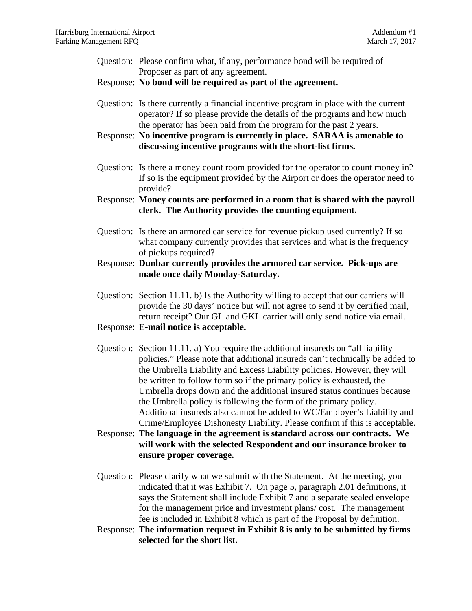- Question: Please confirm what, if any, performance bond will be required of Proposer as part of any agreement.
- Response: **No bond will be required as part of the agreement.**
- Question: Is there currently a financial incentive program in place with the current operator? If so please provide the details of the programs and how much the operator has been paid from the program for the past 2 years.
- Response: **No incentive program is currently in place. SARAA is amenable to discussing incentive programs with the short-list firms.**
- Question: Is there a money count room provided for the operator to count money in? If so is the equipment provided by the Airport or does the operator need to provide?
- Response: **Money counts are performed in a room that is shared with the payroll clerk. The Authority provides the counting equipment.**
- Question: Is there an armored car service for revenue pickup used currently? If so what company currently provides that services and what is the frequency of pickups required?
- Response: **Dunbar currently provides the armored car service. Pick-ups are made once daily Monday-Saturday.**
- Question: Section 11.11. b) Is the Authority willing to accept that our carriers will provide the 30 days' notice but will not agree to send it by certified mail, return receipt? Our GL and GKL carrier will only send notice via email.
- Response: **E-mail notice is acceptable.**
- Question: Section 11.11. a) You require the additional insureds on "all liability policies." Please note that additional insureds can't technically be added to the Umbrella Liability and Excess Liability policies. However, they will be written to follow form so if the primary policy is exhausted, the Umbrella drops down and the additional insured status continues because the Umbrella policy is following the form of the primary policy. Additional insureds also cannot be added to WC/Employer's Liability and Crime/Employee Dishonesty Liability. Please confirm if this is acceptable.
- Response: **The language in the agreement is standard across our contracts. We will work with the selected Respondent and our insurance broker to ensure proper coverage.**
- Question: Please clarify what we submit with the Statement. At the meeting, you indicated that it was Exhibit 7. On page 5, paragraph 2.01 definitions, it says the Statement shall include Exhibit 7 and a separate sealed envelope for the management price and investment plans/ cost. The management fee is included in Exhibit 8 which is part of the Proposal by definition.
- Response: **The information request in Exhibit 8 is only to be submitted by firms selected for the short list.**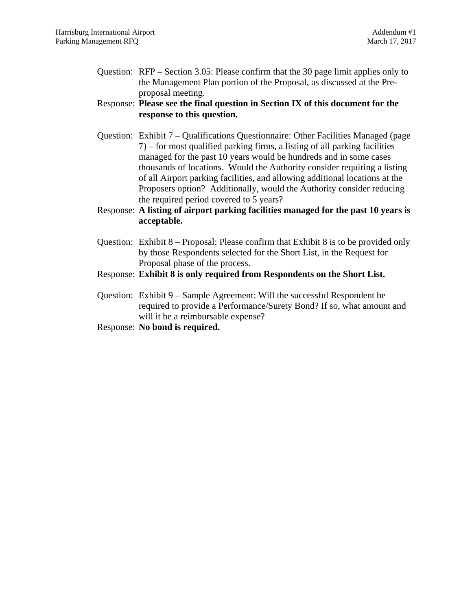Question: RFP – Section 3.05: Please confirm that the 30 page limit applies only to the Management Plan portion of the Proposal, as discussed at the Preproposal meeting.

# Response: **Please see the final question in Section IX of this document for the response to this question.**

- Question: Exhibit 7 Qualifications Questionnaire: Other Facilities Managed (page 7) – for most qualified parking firms, a listing of all parking facilities managed for the past 10 years would be hundreds and in some cases thousands of locations. Would the Authority consider requiring a listing of all Airport parking facilities, and allowing additional locations at the Proposers option? Additionally, would the Authority consider reducing the required period covered to 5 years?
- Response: **A listing of airport parking facilities managed for the past 10 years is acceptable.**
- Question: Exhibit 8 Proposal: Please confirm that Exhibit 8 is to be provided only by those Respondents selected for the Short List, in the Request for Proposal phase of the process.
- Response: **Exhibit 8 is only required from Respondents on the Short List.**
- Question: Exhibit 9 Sample Agreement: Will the successful Respondent be required to provide a Performance/Surety Bond? If so, what amount and will it be a reimbursable expense?
- Response: **No bond is required.**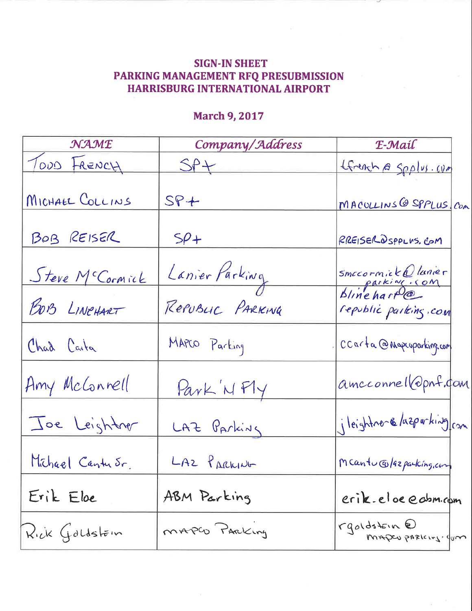# **SIGN-IN SHEET** PARKING MANAGEMENT RFQ PRESUBMISSION HARRISBURG INTERNATIONAL AIRPORT

# **March 9, 2017**

| NAME                   | Company/Address  | E-Mail                                         |
|------------------------|------------------|------------------------------------------------|
| TODD FRENCH            | SPL              | tfrench @ Spplus.com                           |
| MICHAEL COLLINS        | $SP +$           | MACOLLINS @ SPPLUS COM                         |
| BOB REISER             | $5\rho$ +        | RREISER OSPPLUS. COM                           |
| <u>Steve McCormick</u> | Lanier Parking   | smecornick@lunier<br>parking.com<br>blinehart@ |
| BOB LINCHART           | Republic PARKING | republic parking.com                           |
| Chad Carta             | MAPCO Parking    | CCarta @ Mapcoparking.com                      |
| Amy McConnell          | Park 'N Fly      | amcconnell@pnf.com                             |
| Joe Leightner          | LAZ Parking      | jleightne- & lazpurking com                    |
| Michael Cantusr.       | LAZ PARKING      | Mcantucolazparking.com                         |
| Erik Eloe              | ABM Parking      | erik.eloe@cbm.com                              |
| $Rick$ Goldstein       | MAPGO PARKing    | rgoldstein @<br>MADEU PARICING GUM             |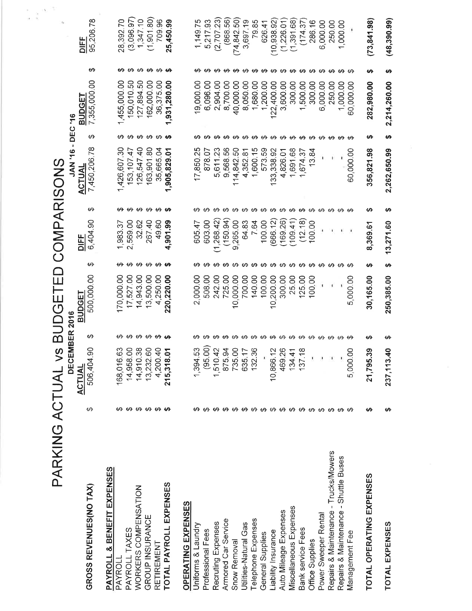| PARKING ACTUAL vs                               |                  |                                             |                      | BUDGETEI                    |                                 | <b>D COMPARISONS</b>                |                               |                                                    |                      |                                                          |                              |                       |
|-------------------------------------------------|------------------|---------------------------------------------|----------------------|-----------------------------|---------------------------------|-------------------------------------|-------------------------------|----------------------------------------------------|----------------------|----------------------------------------------------------|------------------------------|-----------------------|
| GROSS REVENUES(NO TAX)                          | ↔                | <b>DECEM</b><br>506,404.90<br><b>ACTUAL</b> | <b>BER 2016</b><br>↔ | 500,000.00<br><b>BUDGET</b> | ക                               | 6,404.90<br>DIF                     | ക                             | JAN '16 - DEC '16<br>7,450,206.78<br><b>ACTUAL</b> | ↮                    | ↮<br>7,355,000.00<br><b>BUDGET</b>                       | 95,206.78<br>$\frac{DEF}{2}$ |                       |
| PAYROLL & BENEFIT EXPENSES<br>PAYROLL           |                  | 168,016.63                                  |                      | 170,000.00                  | ↮                               | 1,983.37                            | ↮                             | 1,426,607.30                                       |                      | 1,455,000.00                                             | 28,392.70                    |                       |
| PAYROLL TAXES                                   |                  | 14,958.00                                   |                      | 17,527.00                   |                                 | 2,569.00                            |                               | 153, 107.47                                        |                      | 150,010.50                                               |                              | (3,096.97)            |
| WORKERS COMPENSATION                            |                  | 14,910.38                                   |                      | 14,943.00                   |                                 | 32.62                               |                               | 126,547.40                                         |                      | 127,894.50                                               |                              | 1,347.10              |
| GROUP INSURANCE<br>RETIREMENT                   | <del>ഗഗഗഗഗ</del> | 13,232.60<br>4,200.40                       | <del>ഗഗഗഗ</del>      | 13,500.00<br>4,250.00       | <b>69 69 69 69 69</b>           | 267.40<br>49.60                     | <del>00 00 00 <b>00</b></del> | 163,901.80<br>35,665.04                            | <del>ഗ</del> ഗ ഗ ഗ ഗ | <del>ഗ</del> ഗ ഗ ഗ ഗ <b>ഗ</b><br>162,000.00<br>36,375.00 |                              | (1, 901.80)<br>709.96 |
| TOTAL PAYROLL EXPENSES                          |                  | 215,318.01                                  |                      | 220,220.00                  |                                 | 901.99<br>Ч                         |                               | ,905,829.01<br>$\overline{\phantom{0}}$            |                      | 931,280.00<br>$\overline{\phantom{0}}$                   | 25,450.99                    |                       |
| <b>OPERATING EXPENSES</b>                       |                  |                                             |                      |                             |                                 |                                     |                               |                                                    |                      |                                                          |                              |                       |
| Uniforms & Laundry                              |                  | 1,394.53                                    |                      | 000.00<br>$\sim$            | ↮                               | 605.47                              | ↮                             | 25<br>17,850                                       | ↮                    | <del>ഗ</del><br>9,000.00                                 |                              | 1,149.75              |
| Professional Fees                               |                  | (95.00)                                     |                      | 508.00                      |                                 | 603.00                              | ↮                             | 5<br>878.                                          |                      | 6,096.00                                                 |                              | 5,217.93              |
| Recruting Expenses                              |                  | 1,510.42                                    |                      | 242.00                      | ↮                               | ,268.42<br>$\overline{\phantom{0}}$ | ↮                             | 611.23<br>ທົ                                       |                      | 2,904.00                                                 |                              | (2,707.23)            |
| Armored Car Service                             |                  | 875.94                                      |                      | 725.00                      |                                 | (150.94)                            | ↮                             | 56<br>9,568.                                       |                      | 8,700.00                                                 |                              | (868.56)              |
| Snow Removal                                    |                  | 735.00                                      |                      | 00.00<br>$\overline{O}$     |                                 | ,265.00<br>တ                        | ↮                             | SQ<br>114,842.                                     |                      | 40,000.00                                                | (74, 842.50)                 |                       |
| Utilities-Natural Gas                           |                  | 635.17                                      |                      | 700.00                      |                                 | 64.83                               |                               | $\overline{8}$<br>4,352.                           |                      | 8,050.00                                                 |                              | 3,697.19              |
| Telephone Expenses                              |                  | 132.36                                      |                      | 140.00                      |                                 | 7.64                                |                               | 1,600.15                                           |                      | 1,680.00                                                 |                              | 79.85                 |
| General Supplies                                |                  |                                             |                      | 100.00                      |                                 | 100.00                              |                               | 573.59                                             |                      | 1,200.00                                                 |                              | 626.41                |
| Liability Insurance                             |                  | 10,866.12<br>469.26                         |                      | 300.00<br>10,200.00         | <del>00 00 00 00 00 00 00</del> | 169.26)<br>666.12                   | <b>09 09 09 09 09</b>         | 133,338.92                                         |                      | <del>.</del><br>22,400.00                                | (10, 938.92)                 |                       |
| Miscellaneous Expenses<br>Auto Mileage Expenses |                  |                                             |                      | 25.00                       |                                 | (109.41)                            | ↮                             | 1,691.68<br>4,826.01                               |                      | 3,600.00                                                 | (1,226.01)                   |                       |
| Bank service Fees                               |                  | 134.41<br>137.18                            |                      | 125.00                      |                                 | (12.18)                             |                               | 1,674.37                                           |                      | 300.00<br>500.00<br>$\overline{\phantom{0}}$             | (1,391.68)                   | (174.37               |
| Office Supplies                                 |                  |                                             |                      | 100.00                      |                                 | 100.00                              |                               | 3.84<br>$\overline{ }$                             |                      | 300.00                                                   |                              | 286.16                |
| Power Sweeper Rental                            |                  |                                             |                      | Ŧ                           | <del>ഗഗഗഗഗ</del>                | $\cdot$                             | <del>00 00 00 00 00</del>     | $\mathbf{1}$                                       |                      | 6,000.00                                                 |                              | 6,000.00              |
| Repairs & Maintenance - Trucks/Mowers           |                  |                                             |                      | ŧ                           |                                 |                                     |                               |                                                    |                      | 250.00                                                   |                              | 250.00                |
| Repairs & Maintenance - Shuttle Buses           |                  |                                             |                      |                             |                                 |                                     |                               |                                                    |                      | <del>ဟ ဟ</del><br>1,000.00                               |                              | 1,000.00              |
| Management Fee                                  |                  | 5,000.00                                    |                      | 5,000.00                    |                                 | ٠                                   |                               | 60,000.00                                          |                      | 60,000.00                                                |                              |                       |
| <b>TOTAL OPERATING EXPENSES</b>                 | ഗ                | 21,795.39                                   | ഗ                    | 30,165.00                   | ക                               | 8,369.6                             | ↮                             | 356,821.98                                         | ↮                    | မာ<br>282,980.00                                         | (73, 841.98)                 |                       |
| <b>TOTAL EXPENSES</b>                           | ↮                | 237, 113.40                                 | ↮                    | 250,385.00                  | ↮                               | 13,271.60                           | ക                             | 2,262,650.99                                       | ↮                    | ↮<br>2,214,260.00                                        | (48, 390.99)                 |                       |
|                                                 |                  |                                             |                      |                             |                                 |                                     |                               |                                                    |                      |                                                          |                              |                       |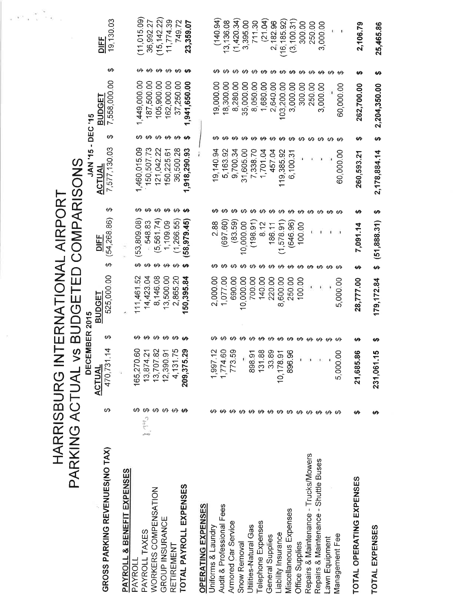|                                       |                                                                   | PARKING ACTUAL vs                                                           |                                  | $\Xi$<br><b>BUDGET</b>      | HARRISBURG INTERNATIONAL AIRPOR                       | COMPARISONS                                                                                                         |                                    |                                   |                          |
|---------------------------------------|-------------------------------------------------------------------|-----------------------------------------------------------------------------|----------------------------------|-----------------------------|-------------------------------------------------------|---------------------------------------------------------------------------------------------------------------------|------------------------------------|-----------------------------------|--------------------------|
|                                       |                                                                   | DECEMBER 2015                                                               |                                  |                             |                                                       | JAN '15 - DEC '15                                                                                                   |                                    |                                   |                          |
| GROSS PARKING REVENUES(NO TAX)        | ക                                                                 | 470,731.14<br><b>ACTUAL</b>                                                 | ↔                                | 525,000.00<br><b>BUDGET</b> | (54, 268, 86)<br>DIFF<br>ക                            | 7,577,130.03<br><b>ACTUAL</b><br>↮                                                                                  | 7,558,000.00<br><b>BUDGET</b><br>ക | ↮                                 | 19,130.03<br><b>DIFF</b> |
| PAYROLL & BENEFIT EXPENSES            |                                                                   |                                                                             |                                  |                             |                                                       |                                                                                                                     |                                    |                                   |                          |
| PAYROLL                               | ↮                                                                 |                                                                             |                                  | 111,461.52                  | (53, 809.08)<br>↮                                     | 1,460,015.09<br>↮                                                                                                   | 1,449,000.00<br>↮                  |                                   | (11, 015.09)             |
| PAYROLL TAXES                         | $\sum_{i=1}^n \sum_{j=1}^n \hat{c}_j$                             |                                                                             |                                  | 14,423.04                   | 548.83                                                | 150,507.73                                                                                                          | 187,500.00                         |                                   | 36,992.27                |
| WORKERS COMPENSATION                  | $\boldsymbol{\omega}$ $\boldsymbol{\omega}$ $\boldsymbol{\omega}$ |                                                                             | <del>00 00 00 00 <b>00</b></del> | 8,146.08                    | 561.74)<br>ம்<br><b>03 69 69 69 69</b>                | 121,042.22                                                                                                          | 105,900.00<br><b>09 09 09 09</b>   |                                   | (15, 142.22)             |
| GROUP INSURANCE                       |                                                                   |                                                                             |                                  | 13,500.00                   | 1,109.09                                              | 150,225.61                                                                                                          | 162,000.00                         |                                   | 11,774.39                |
| RETIREMENT                            |                                                                   |                                                                             |                                  | 2,865.20                    | (1, 266.55)                                           | 36,500.28                                                                                                           | 37,250.00                          |                                   | 749.72                   |
| TOTAL PAYROLL EXPENSES                |                                                                   | 165,270.60<br>13,874.21<br>13,707.82<br>12,390.91<br>4,131.75<br>209,375.29 |                                  | 50,395.84                   | (58, 979.45)                                          | 1,918,290.93<br>$\boldsymbol{\vartheta}$ $\boldsymbol{\vartheta}$ $\boldsymbol{\vartheta}$ $\boldsymbol{\vartheta}$ | 941,650.00<br>↮                    | <del>00 00 00 00 <b>00</b></del>  | 23,359.07                |
| OPERATING EXPENSES                    |                                                                   |                                                                             |                                  |                             |                                                       |                                                                                                                     |                                    |                                   |                          |
| Uniforms & Laundry                    |                                                                   |                                                                             |                                  | 2,000.00                    | $\frac{8}{8}$<br>Νi<br>ക                              | 9,140.94<br>ക                                                                                                       | 9,000.00                           | ↮                                 | 140.94                   |
| Audit & Professional Fees             |                                                                   |                                                                             |                                  | 1,077.00                    | (697.60)                                              | 5,163.92                                                                                                            | 18,300.00                          |                                   | 13,136.08                |
| Armored Car Service                   |                                                                   | 1,997.12<br>1,774.60<br>773.59                                              |                                  | 690.00                      | (83.59)                                               | 9,700.34                                                                                                            | 8,280.00                           |                                   | (1,420.34)               |
| Snow Removal                          |                                                                   |                                                                             |                                  | 10,000.00                   | 10,000.00                                             | 31,605.00                                                                                                           | 35,000.00                          |                                   | 3,395.00                 |
| Utilities-Natural Gas                 |                                                                   |                                                                             |                                  | 700.00                      | (198.91)                                              | 7,338.70                                                                                                            | 8,050.00                           |                                   | 711.30                   |
| Telephone Expenses                    |                                                                   | 898.91<br>131.88<br>10,178.91<br>10,178.91                                  | <del>.</del>                     | 140.00                      | <del></del><br>8.12<br><b>00 00 00 00 00 00 00 00</b> | 1,701.04                                                                                                            | 1,680.00                           | <b>69 69 69 69 69 69 69 69 69</b> | (21.04)                  |
| General Supplies                      |                                                                   |                                                                             |                                  | 220.00                      | 186.11                                                | 457.04                                                                                                              | 640.00<br>$\overline{\mathcal{N}}$ |                                   | 2,182.96                 |
| Liability Insurance                   |                                                                   |                                                                             |                                  | 8,600.00                    | 1,578.91                                              | 119,385.92                                                                                                          | 103,200.00                         |                                   | (16, 185.92)             |
| Miscellaneous Expenses                |                                                                   |                                                                             |                                  | 250.00                      | (646.96)                                              | 6,100.31                                                                                                            | 3,000.00                           |                                   | (3, 100.31)              |
| Office Supplies                       |                                                                   |                                                                             |                                  | 100.00                      | 100.00                                                |                                                                                                                     | 300.00                             |                                   | 300.00                   |
| Repairs & Maintenance - Trucks/Mowers |                                                                   | ×                                                                           |                                  |                             | <del>ဟေး ဟေး</del>                                    |                                                                                                                     | 250.00                             |                                   | 250.00                   |
| Repairs & Maintenance - Shuttle Buses |                                                                   |                                                                             |                                  |                             |                                                       |                                                                                                                     | 3,000.00                           |                                   | 3,000.00                 |
| awn Equipment                         |                                                                   |                                                                             |                                  |                             | ×<br><del>ဟ ဟ</del>                                   |                                                                                                                     |                                    |                                   | 収                        |
| Management Fee                        | ക                                                                 | 5,000.00                                                                    |                                  | 5,000.00                    |                                                       | 60,000.00                                                                                                           | 60,000.00                          | မာမာ                              | J.                       |
| TOTAL OPERATING EXPENSES              | ↮                                                                 | 21,685.86                                                                   | ŧΑ                               | 28,777.00                   | ↮<br>7,091.14<br>↮                                    | 260,593.21                                                                                                          | 262,700.00<br>မာ                   | ↮                                 | 2,106.79                 |
| TOTAL EXPENSES                        | မာ                                                                | 231,061.15                                                                  |                                  | 179, 172.84                 | ↮<br>(51,888.31)<br>↮                                 | 2,178,884.14                                                                                                        | 2,204,350.00<br>ക                  | မာ                                | 25,465.86                |
|                                       |                                                                   |                                                                             |                                  |                             |                                                       |                                                                                                                     |                                    |                                   |                          |